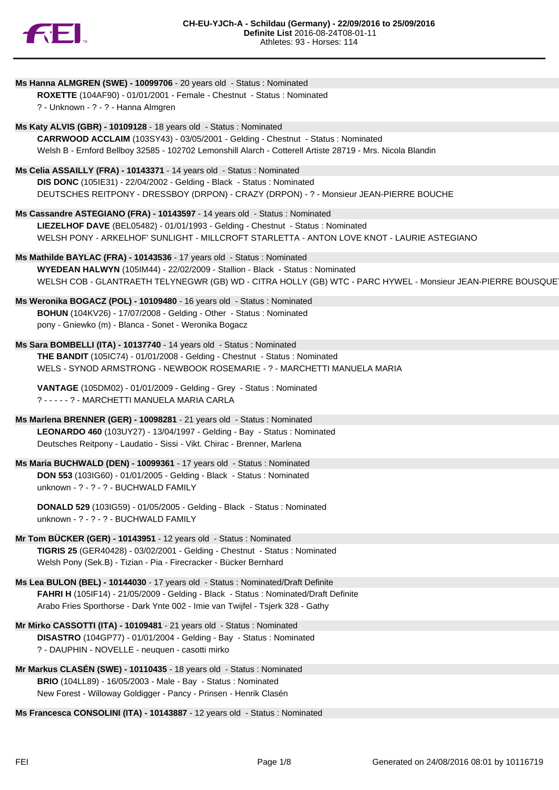

| Ms Hanna ALMGREN (SWE) - 10099706 - 20 years old - Status : Nominated                                       |
|-------------------------------------------------------------------------------------------------------------|
| ROXETTE (104AF90) - 01/01/2001 - Female - Chestnut - Status : Nominated                                     |
| ? - Unknown - ? - ? - Hanna Almgren                                                                         |
| Ms Katy ALVIS (GBR) - 10109128 - 18 years old - Status : Nominated                                          |
| CARRWOOD ACCLAIM (103SY43) - 03/05/2001 - Gelding - Chestnut - Status : Nominated                           |
| Welsh B - Ernford Bellboy 32585 - 102702 Lemonshill Alarch - Cotterell Artiste 28719 - Mrs. Nicola Blandin  |
|                                                                                                             |
| Ms Celia ASSAILLY (FRA) - 10143371 - 14 years old - Status : Nominated                                      |
| DIS DONC (105IE31) - 22/04/2002 - Gelding - Black - Status : Nominated                                      |
| DEUTSCHES REITPONY - DRESSBOY (DRPON) - CRAZY (DRPON) - ? - Monsieur JEAN-PIERRE BOUCHE                     |
|                                                                                                             |
| Ms Cassandre ASTEGIANO (FRA) - 10143597 - 14 years old - Status : Nominated                                 |
| LIEZELHOF DAVE (BEL05482) - 01/01/1993 - Gelding - Chestnut - Status : Nominated                            |
| WELSH PONY - ARKELHOF' SUNLIGHT - MILLCROFT STARLETTA - ANTON LOVE KNOT - LAURIE ASTEGIANO                  |
| Ms Mathilde BAYLAC (FRA) - 10143536 - 17 years old - Status : Nominated                                     |
| WYEDEAN HALWYN (105IM44) - 22/02/2009 - Stallion - Black - Status : Nominated                               |
| WELSH COB - GLANTRAETH TELYNEGWR (GB) WD - CITRA HOLLY (GB) WTC - PARC HYWEL - Monsieur JEAN-PIERRE BOUSQUE |
| Ms Weronika BOGACZ (POL) - 10109480 - 16 years old - Status : Nominated                                     |
| BOHUN (104KV26) - 17/07/2008 - Gelding - Other - Status : Nominated                                         |
| pony - Gniewko (m) - Blanca - Sonet - Weronika Bogacz                                                       |
|                                                                                                             |
| Ms Sara BOMBELLI (ITA) - 10137740 - 14 years old - Status : Nominated                                       |
| THE BANDIT (105IC74) - 01/01/2008 - Gelding - Chestnut - Status: Nominated                                  |
| WELS - SYNOD ARMSTRONG - NEWBOOK ROSEMARIE - ? - MARCHETTI MANUELA MARIA                                    |
| VANTAGE (105DM02) - 01/01/2009 - Gelding - Grey - Status: Nominated                                         |
| ? - - - - - ? - MARCHETTI MANUELA MARIA CARLA                                                               |
|                                                                                                             |
| Ms Marlena BRENNER (GER) - 10098281 - 21 years old - Status : Nominated                                     |
| LEONARDO 460 (103UY27) - 13/04/1997 - Gelding - Bay - Status : Nominated                                    |
| Deutsches Reitpony - Laudatio - Sissi - Vikt. Chirac - Brenner, Marlena                                     |
| Ms Maria BUCHWALD (DEN) - 10099361 - 17 years old - Status : Nominated                                      |
| DON 553 (103IG60) - 01/01/2005 - Gelding - Black - Status : Nominated                                       |
| unknown - ? - ? - ? - BUCHWALD FAMILY                                                                       |
|                                                                                                             |
| DONALD 529 (103IG59) - 01/05/2005 - Gelding - Black - Status : Nominated                                    |
| unknown - ? - ? - ? - BUCHWALD FAMILY                                                                       |
| Mr Tom BÜCKER (GER) - 10143951 - 12 years old - Status : Nominated                                          |
| TIGRIS 25 (GER40428) - 03/02/2001 - Gelding - Chestnut - Status : Nominated                                 |
| Welsh Pony (Sek.B) - Tizian - Pia - Firecracker - Bücker Bernhard                                           |
|                                                                                                             |
| Ms Lea BULON (BEL) - 10144030 - 17 years old - Status : Nominated/Draft Definite                            |
| FAHRI H (105IF14) - 21/05/2009 - Gelding - Black - Status : Nominated/Draft Definite                        |
| Arabo Fries Sporthorse - Dark Ynte 002 - Imie van Twijfel - Tsjerk 328 - Gathy                              |
| Mr Mirko CASSOTTI (ITA) - 10109481 - 21 years old - Status : Nominated                                      |
| DISASTRO (104GP77) - 01/01/2004 - Gelding - Bay - Status: Nominated                                         |
| ? - DAUPHIN - NOVELLE - neuquen - casotti mirko                                                             |
|                                                                                                             |
| Mr Markus CLASÉN (SWE) - 10110435 - 18 years old - Status : Nominated                                       |
| BRIO (104LL89) - 16/05/2003 - Male - Bay - Status : Nominated                                               |
| New Forest - Willoway Goldigger - Pancy - Prinsen - Henrik Clasén                                           |
| Ms Francesca CONSOLINI (ITA) - 10143887 - 12 years old - Status : Nominated                                 |
|                                                                                                             |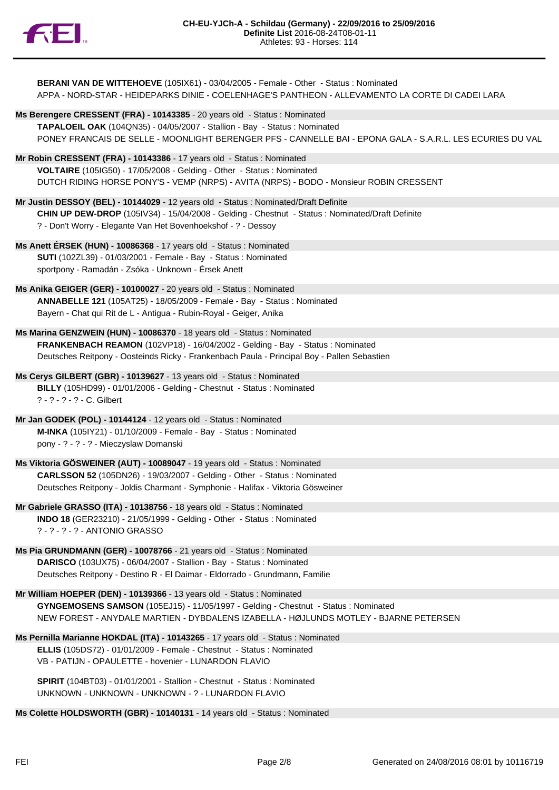

**BERANI VAN DE WITTEHOEVE** (105IX61) - 03/04/2005 - Female - Other - Status : Nominated APPA - NORD-STAR - HEIDEPARKS DINIE - COELENHAGE'S PANTHEON - ALLEVAMENTO LA CORTE DI CADEI LARA

- **Ms Berengere CRESSENT (FRA) 10143385** 20 years old Status : Nominated **TAPALOEIL OAK** (104QN35) - 04/05/2007 - Stallion - Bay - Status : Nominated PONEY FRANCAIS DE SELLE - MOONLIGHT BERENGER PFS - CANNELLE BAI - EPONA GALA - S.A.R.L. LES ECURIES DU VAL
- **Mr Robin CRESSENT (FRA) 10143386** 17 years old Status : Nominated **VOLTAIRE** (105IG50) - 17/05/2008 - Gelding - Other - Status : Nominated DUTCH RIDING HORSE PONY'S - VEMP (NRPS) - AVITA (NRPS) - BODO - Monsieur ROBIN CRESSENT
- **Mr Justin DESSOY (BEL) 10144029** 12 years old Status : Nominated/Draft Definite **CHIN UP DEW-DROP** (105IV34) - 15/04/2008 - Gelding - Chestnut - Status : Nominated/Draft Definite ? - Don't Worry - Elegante Van Het Bovenhoekshof - ? - Dessoy
- **Ms Anett ÉRSEK (HUN) 10086368** 17 years old Status : Nominated **SUTI** (102ZL39) - 01/03/2001 - Female - Bay - Status : Nominated sportpony - Ramadán - Zsóka - Unknown - Érsek Anett
- **Ms Anika GEIGER (GER) 10100027** 20 years old Status : Nominated **ANNABELLE 121** (105AT25) - 18/05/2009 - Female - Bay - Status : Nominated Bayern - Chat qui Rit de L - Antigua - Rubin-Royal - Geiger, Anika
- **Ms Marina GENZWEIN (HUN) 10086370** 18 years old Status : Nominated **FRANKENBACH REAMON** (102VP18) - 16/04/2002 - Gelding - Bay - Status : Nominated Deutsches Reitpony - Oosteinds Ricky - Frankenbach Paula - Principal Boy - Pallen Sebastien
- **Ms Cerys GILBERT (GBR) 10139627** 13 years old Status : Nominated **BILLY** (105HD99) - 01/01/2006 - Gelding - Chestnut - Status : Nominated ? - ? - ? - ? - C. Gilbert
- **Mr Jan GODEK (POL) 10144124** 12 years old Status : Nominated **M-INKA** (105IY21) - 01/10/2009 - Female - Bay - Status : Nominated pony - ? - ? - ? - Mieczyslaw Domanski
- **Ms Viktoria GÖSWEINER (AUT) 10089047** 19 years old Status : Nominated **CARLSSON 52** (105DN26) - 19/03/2007 - Gelding - Other - Status : Nominated Deutsches Reitpony - Joldis Charmant - Symphonie - Halifax - Viktoria Gösweiner
- **Mr Gabriele GRASSO (ITA) 10138756** 18 years old Status : Nominated **INDO 18** (GER23210) - 21/05/1999 - Gelding - Other - Status : Nominated ? - ? - ? - ? - ANTONIO GRASSO
- **Ms Pia GRUNDMANN (GER) 10078766** 21 years old Status : Nominated **DARISCO** (103UX75) - 06/04/2007 - Stallion - Bay - Status : Nominated Deutsches Reitpony - Destino R - El Daimar - Eldorrado - Grundmann, Familie
- **Mr William HOEPER (DEN) 10139366** 13 years old Status : Nominated **GYNGEMOSENS SAMSON** (105EJ15) - 11/05/1997 - Gelding - Chestnut - Status : Nominated NEW FOREST - ANYDALE MARTIEN - DYBDALENS IZABELLA - HØJLUNDS MOTLEY - BJARNE PETERSEN
- **Ms Pernilla Marianne HOKDAL (ITA) 10143265** 17 years old Status : Nominated **ELLIS** (105DS72) - 01/01/2009 - Female - Chestnut - Status : Nominated VB - PATIJN - OPAULETTE - hovenier - LUNARDON FLAVIO

**SPIRIT** (104BT03) - 01/01/2001 - Stallion - Chestnut - Status : Nominated UNKNOWN - UNKNOWN - UNKNOWN - ? - LUNARDON FLAVIO

**Ms Colette HOLDSWORTH (GBR) - 10140131** - 14 years old - Status : Nominated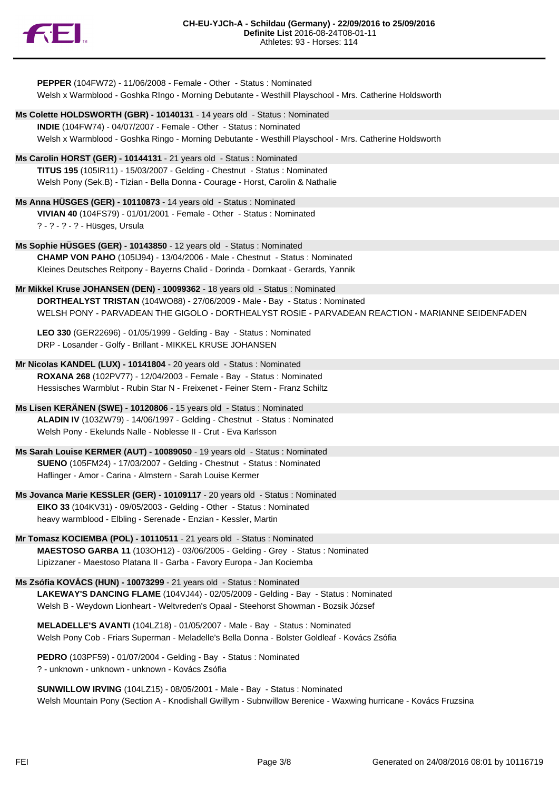

| PEPPER (104FW72) - 11/06/2008 - Female - Other - Status : Nominated<br>Welsh x Warmblood - Goshka RIngo - Morning Debutante - Westhill Playschool - Mrs. Catherine Holdsworth |
|-------------------------------------------------------------------------------------------------------------------------------------------------------------------------------|
|                                                                                                                                                                               |
| Ms Colette HOLDSWORTH (GBR) - 10140131 - 14 years old - Status : Nominated<br>INDIE (104FW74) - 04/07/2007 - Female - Other - Status : Nominated                              |
| Welsh x Warmblood - Goshka Ringo - Morning Debutante - Westhill Playschool - Mrs. Catherine Holdsworth                                                                        |
| Ms Carolin HORST (GER) - 10144131 - 21 years old - Status : Nominated                                                                                                         |
| TITUS 195 (105IR11) - 15/03/2007 - Gelding - Chestnut - Status : Nominated<br>Welsh Pony (Sek.B) - Tizian - Bella Donna - Courage - Horst, Carolin & Nathalie                 |
| Ms Anna HÜSGES (GER) - 10110873 - 14 years old - Status : Nominated                                                                                                           |
| VIVIAN 40 (104FS79) - 01/01/2001 - Female - Other - Status : Nominated                                                                                                        |
| ? - ? - ? - ? - Hüsges, Ursula                                                                                                                                                |
| Ms Sophie HÜSGES (GER) - 10143850 - 12 years old - Status : Nominated                                                                                                         |
| CHAMP VON PAHO (105IJ94) - 13/04/2006 - Male - Chestnut - Status : Nominated                                                                                                  |
| Kleines Deutsches Reitpony - Bayerns Chalid - Dorinda - Dornkaat - Gerards, Yannik                                                                                            |
| Mr Mikkel Kruse JOHANSEN (DEN) - 10099362 - 18 years old - Status : Nominated                                                                                                 |
| DORTHEALYST TRISTAN (104WO88) - 27/06/2009 - Male - Bay - Status : Nominated                                                                                                  |
| WELSH PONY - PARVADEAN THE GIGOLO - DORTHEALYST ROSIE - PARVADEAN REACTION - MARIANNE SEIDENFADEN                                                                             |
| LEO 330 (GER22696) - 01/05/1999 - Gelding - Bay - Status: Nominated                                                                                                           |
| DRP - Losander - Golfy - Brillant - MIKKEL KRUSE JOHANSEN                                                                                                                     |
| Mr Nicolas KANDEL (LUX) - 10141804 - 20 years old - Status : Nominated                                                                                                        |
| ROXANA 268 (102PV77) - 12/04/2003 - Female - Bay - Status: Nominated                                                                                                          |
| Hessisches Warmblut - Rubin Star N - Freixenet - Feiner Stern - Franz Schiltz                                                                                                 |
| Ms Lisen KERÄNEN (SWE) - 10120806 - 15 years old - Status : Nominated                                                                                                         |
| ALADIN IV (103ZW79) - 14/06/1997 - Gelding - Chestnut - Status : Nominated                                                                                                    |
| Welsh Pony - Ekelunds Nalle - Noblesse II - Crut - Eva Karlsson                                                                                                               |
| Ms Sarah Louise KERMER (AUT) - 10089050 - 19 years old - Status : Nominated                                                                                                   |
| SUENO (105FM24) - 17/03/2007 - Gelding - Chestnut - Status : Nominated                                                                                                        |
| Haflinger - Amor - Carina - Almstern - Sarah Louise Kermer                                                                                                                    |
| Ms Jovanca Marie KESSLER (GER) - 10109117 - 20 years old - Status : Nominated                                                                                                 |
| EIKO 33 (104KV31) - 09/05/2003 - Gelding - Other - Status : Nominated                                                                                                         |
| heavy warmblood - Elbling - Serenade - Enzian - Kessler, Martin                                                                                                               |
| Mr Tomasz KOCIEMBA (POL) - 10110511 - 21 years old - Status : Nominated                                                                                                       |
| MAESTOSO GARBA 11 (103OH12) - 03/06/2005 - Gelding - Grey - Status: Nominated                                                                                                 |
| Lipizzaner - Maestoso Platana II - Garba - Favory Europa - Jan Kociemba                                                                                                       |
| Ms Zsófia KOVÁCS (HUN) - 10073299 - 21 years old - Status : Nominated                                                                                                         |
| LAKEWAY'S DANCING FLAME (104VJ44) - 02/05/2009 - Gelding - Bay - Status : Nominated                                                                                           |
| Welsh B - Weydown Lionheart - Weltvreden's Opaal - Steehorst Showman - Bozsik József                                                                                          |
| MELADELLE'S AVANTI (104LZ18) - 01/05/2007 - Male - Bay - Status : Nominated                                                                                                   |
| Welsh Pony Cob - Friars Superman - Meladelle's Bella Donna - Bolster Goldleaf - Kovács Zsófia                                                                                 |

**PEDRO** (103PF59) - 01/07/2004 - Gelding - Bay - Status : Nominated ? - unknown - unknown - unknown - Kovács Zsófia

**SUNWILLOW IRVING** (104LZ15) - 08/05/2001 - Male - Bay - Status : Nominated Welsh Mountain Pony (Section A - Knodishall Gwillym - Subnwillow Berenice - Waxwing hurricane - Kovács Fruzsina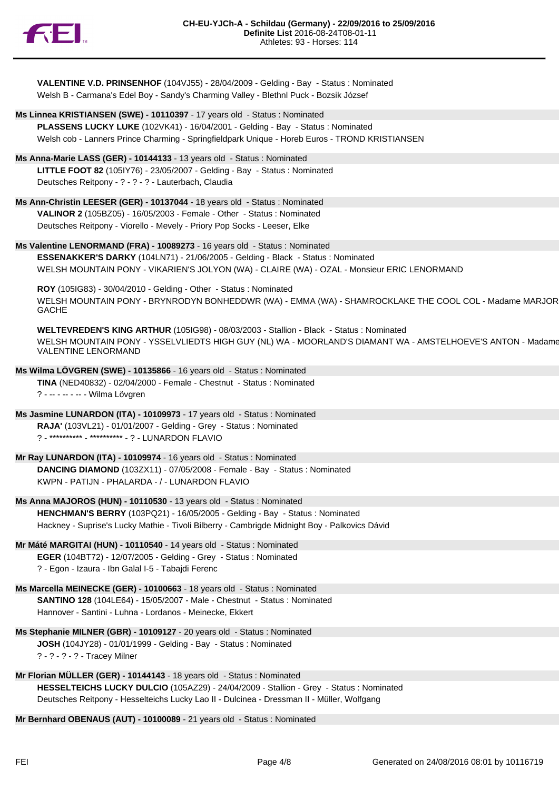

| VALENTINE V.D. PRINSENHOF (104VJ55) - 28/04/2009 - Gelding - Bay - Status : Nominated |
|---------------------------------------------------------------------------------------|
| Welsh B - Carmana's Edel Boy - Sandy's Charming Valley - Blethnl Puck - Bozsik József |

- **Ms Linnea KRISTIANSEN (SWE) 10110397** 17 years old Status : Nominated **PLASSENS LUCKY LUKE** (102VK41) - 16/04/2001 - Gelding - Bay - Status : Nominated Welsh cob - Lanners Prince Charming - Springfieldpark Unique - Horeb Euros - TROND KRISTIANSEN
- **Ms Anna-Marie LASS (GER) 10144133** 13 years old Status : Nominated **LITTLE FOOT 82** (105IY76) - 23/05/2007 - Gelding - Bay - Status : Nominated Deutsches Reitpony - ? - ? - ? - Lauterbach, Claudia
- **Ms Ann-Christin LEESER (GER) 10137044** 18 years old Status : Nominated **VALINOR 2** (105BZ05) - 16/05/2003 - Female - Other - Status : Nominated Deutsches Reitpony - Viorello - Mevely - Priory Pop Socks - Leeser, Elke
- **Ms Valentine LENORMAND (FRA) 10089273** 16 years old Status : Nominated **ESSENAKKER'S DARKY** (104LN71) - 21/06/2005 - Gelding - Black - Status : Nominated WELSH MOUNTAIN PONY - VIKARIEN'S JOLYON (WA) - CLAIRE (WA) - OZAL - Monsieur ERIC LENORMAND
	- **ROY** (105IG83) 30/04/2010 Gelding Other Status : Nominated WELSH MOUNTAIN PONY - BRYNRODYN BONHEDDWR (WA) - EMMA (WA) - SHAMROCKLAKE THE COOL COL - Madame MARJOR GACHE

**WELTEVREDEN'S KING ARTHUR** (105IG98) - 08/03/2003 - Stallion - Black - Status : Nominated WELSH MOUNTAIN PONY - YSSELVLIEDTS HIGH GUY (NL) WA - MOORLAND'S DIAMANT WA - AMSTELHOEVE'S ANTON - Madame VALENTINE LENORMAND

- **Ms Wilma LÖVGREN (SWE) 10135866** 16 years old Status : Nominated **TINA** (NED40832) - 02/04/2000 - Female - Chestnut - Status : Nominated ? - -- - -- - -- - Wilma Lövgren
- **Ms Jasmine LUNARDON (ITA) 10109973** 17 years old Status : Nominated **RAJA'** (103VL21) - 01/01/2007 - Gelding - Grey - Status : Nominated ? - \*\*\*\*\*\*\*\*\*\* - \*\*\*\*\*\*\*\*\*\* - ? - LUNARDON FLAVIO
- **Mr Ray LUNARDON (ITA) 10109974** 16 years old Status : Nominated **DANCING DIAMOND** (103ZX11) - 07/05/2008 - Female - Bay - Status : Nominated KWPN - PATIJN - PHALARDA - / - LUNARDON FLAVIO
- **Ms Anna MAJOROS (HUN) 10110530** 13 years old Status : Nominated **HENCHMAN'S BERRY** (103PQ21) - 16/05/2005 - Gelding - Bay - Status : Nominated Hackney - Suprise's Lucky Mathie - Tivoli Bilberry - Cambrigde Midnight Boy - Palkovics Dávid
- **Mr Máté MARGITAI (HUN) 10110540** 14 years old Status : Nominated **EGER** (104BT72) - 12/07/2005 - Gelding - Grey - Status : Nominated ? - Egon - Izaura - Ibn Galal I-5 - Tabajdi Ferenc
- **Ms Marcella MEINECKE (GER) 10100663** 18 years old Status : Nominated **SANTINO 128** (104LE64) - 15/05/2007 - Male - Chestnut - Status : Nominated Hannover - Santini - Luhna - Lordanos - Meinecke, Ekkert
- **Ms Stephanie MILNER (GBR) 10109127** 20 years old Status : Nominated **JOSH** (104JY28) - 01/01/1999 - Gelding - Bay - Status : Nominated ? - ? - ? - ? - Tracey Milner
- **Mr Florian MÜLLER (GER) 10144143** 18 years old Status : Nominated **HESSELTEICHS LUCKY DULCIO** (105AZ29) - 24/04/2009 - Stallion - Grey - Status : Nominated Deutsches Reitpony - Hesselteichs Lucky Lao II - Dulcinea - Dressman II - Müller, Wolfgang

**Mr Bernhard OBENAUS (AUT) - 10100089** - 21 years old - Status : Nominated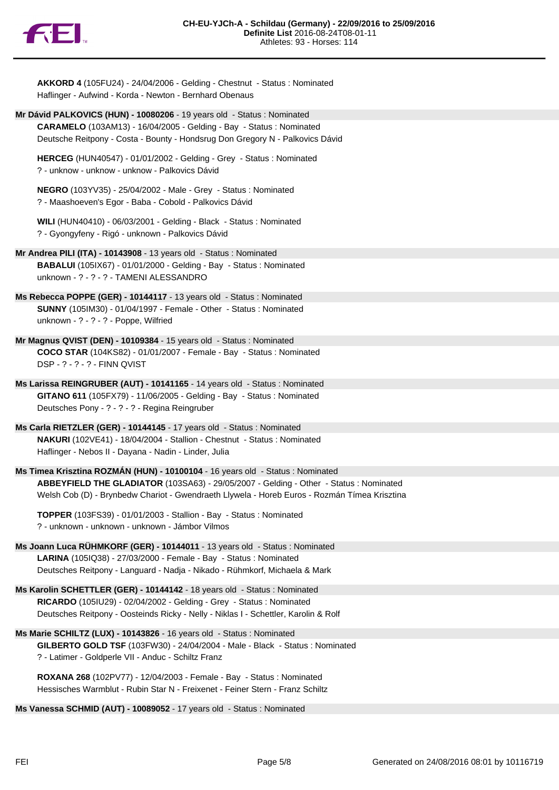

Haflinger - Aufwind - Korda - Newton - Bernhard Obenaus **Mr Dávid PALKOVICS (HUN) - 10080206** - 19 years old - Status : Nominated **CARAMELO** (103AM13) - 16/04/2005 - Gelding - Bay - Status : Nominated Deutsche Reitpony - Costa - Bounty - Hondsrug Don Gregory N - Palkovics Dávid **HERCEG** (HUN40547) - 01/01/2002 - Gelding - Grey - Status : Nominated ? - unknow - unknow - unknow - Palkovics Dávid **NEGRO** (103YV35) - 25/04/2002 - Male - Grey - Status : Nominated ? - Maashoeven's Egor - Baba - Cobold - Palkovics Dávid **WILI** (HUN40410) - 06/03/2001 - Gelding - Black - Status : Nominated ? - Gyongyfeny - Rigó - unknown - Palkovics Dávid **Mr Andrea PILI (ITA) - 10143908** - 13 years old - Status : Nominated **BABALUI** (105IX67) - 01/01/2000 - Gelding - Bay - Status : Nominated unknown - ? - ? - ? - TAMENI ALESSANDRO **Ms Rebecca POPPE (GER) - 10144117** - 13 years old - Status : Nominated **SUNNY** (105IM30) - 01/04/1997 - Female - Other - Status : Nominated unknown - ? - ? - ? - Poppe, Wilfried **Mr Magnus QVIST (DEN) - 10109384** - 15 years old - Status : Nominated **COCO STAR** (104KS82) - 01/01/2007 - Female - Bay - Status : Nominated DSP - ? - ? - ? - FINN QVIST **Ms Larissa REINGRUBER (AUT) - 10141165** - 14 years old - Status : Nominated **GITANO 611** (105FX79) - 11/06/2005 - Gelding - Bay - Status : Nominated Deutsches Pony - ? - ? - ? - Regina Reingruber **Ms Carla RIETZLER (GER) - 10144145** - 17 years old - Status : Nominated **NAKURI** (102VE41) - 18/04/2004 - Stallion - Chestnut - Status : Nominated Haflinger - Nebos II - Dayana - Nadin - Linder, Julia **Ms Timea Krisztina ROZMÁN (HUN) - 10100104** - 16 years old - Status : Nominated **ABBEYFIELD THE GLADIATOR** (103SA63) - 29/05/2007 - Gelding - Other - Status : Nominated Welsh Cob (D) - Brynbedw Chariot - Gwendraeth Llywela - Horeb Euros - Rozmán Tímea Krisztina

**AKKORD 4** (105FU24) - 24/04/2006 - Gelding - Chestnut - Status : Nominated

**TOPPER** (103FS39) - 01/01/2003 - Stallion - Bay - Status : Nominated ? - unknown - unknown - unknown - Jámbor Vilmos

- **Ms Joann Luca RÜHMKORF (GER) 10144011** 13 years old Status : Nominated **LARINA** (105IQ38) - 27/03/2000 - Female - Bay - Status : Nominated Deutsches Reitpony - Languard - Nadja - Nikado - Rühmkorf, Michaela & Mark
- **Ms Karolin SCHETTLER (GER) 10144142** 18 years old Status : Nominated **RICARDO** (105IU29) - 02/04/2002 - Gelding - Grey - Status : Nominated Deutsches Reitpony - Oosteinds Ricky - Nelly - Niklas I - Schettler, Karolin & Rolf

**Ms Marie SCHILTZ (LUX) - 10143826** - 16 years old - Status : Nominated **GILBERTO GOLD TSF** (103FW30) - 24/04/2004 - Male - Black - Status : Nominated ? - Latimer - Goldperle VII - Anduc - Schiltz Franz

**ROXANA 268** (102PV77) - 12/04/2003 - Female - Bay - Status : Nominated Hessisches Warmblut - Rubin Star N - Freixenet - Feiner Stern - Franz Schiltz

**Ms Vanessa SCHMID (AUT) - 10089052** - 17 years old - Status : Nominated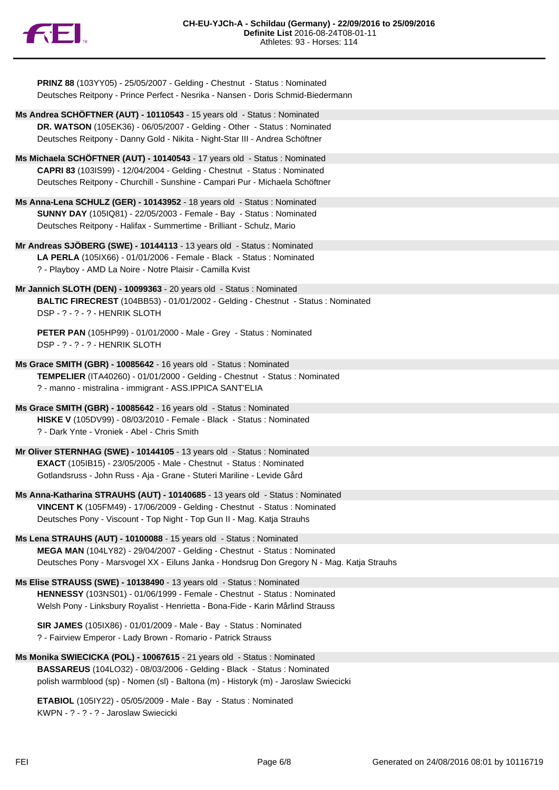

**PRINZ 88** (103YY05) - 25/05/2007 - Gelding - Chestnut - Status : Nominated Deutsches Reitpony - Prince Perfect - Nesrika - Nansen - Doris Schmid-Biedermann

- **Ms Andrea SCHÖFTNER (AUT) 10110543** 15 years old Status : Nominated **DR. WATSON** (105EK36) - 06/05/2007 - Gelding - Other - Status : Nominated Deutsches Reitpony - Danny Gold - Nikita - Night-Star III - Andrea Schöftner
- **Ms Michaela SCHÖFTNER (AUT) 10140543** 17 years old Status : Nominated **CAPRI 83** (103IS99) - 12/04/2004 - Gelding - Chestnut - Status : Nominated Deutsches Reitpony - Churchill - Sunshine - Campari Pur - Michaela Schöftner
- **Ms Anna-Lena SCHULZ (GER) 10143952** 18 years old Status : Nominated **SUNNY DAY** (105IQ81) - 22/05/2003 - Female - Bay - Status : Nominated Deutsches Reitpony - Halifax - Summertime - Brilliant - Schulz, Mario
- **Mr Andreas SJÖBERG (SWE) 10144113** 13 years old Status : Nominated **LA PERLA** (105IX66) - 01/01/2006 - Female - Black - Status : Nominated ? - Playboy - AMD La Noire - Notre Plaisir - Camilla Kvist
- **Mr Jannich SLOTH (DEN) 10099363** 20 years old Status : Nominated **BALTIC FIRECREST** (104BB53) - 01/01/2002 - Gelding - Chestnut - Status : Nominated DSP - ? - ? - ? - HENRIK SLOTH
	- **PETER PAN** (105HP99) 01/01/2000 Male Grey Status : Nominated DSP - ? - ? - ? - HENRIK SLOTH
- **Ms Grace SMITH (GBR) 10085642** 16 years old Status : Nominated **TEMPELIER** (ITA40260) - 01/01/2000 - Gelding - Chestnut - Status : Nominated ? - manno - mistralina - immigrant - ASS.IPPICA SANT'ELIA
- **Ms Grace SMITH (GBR) 10085642** 16 years old Status : Nominated **HISKE V** (105DV99) - 08/03/2010 - Female - Black - Status : Nominated ? - Dark Ynte - Vroniek - Abel - Chris Smith
- **Mr Oliver STERNHAG (SWE) 10144105** 13 years old Status : Nominated **EXACT** (105IB15) - 23/05/2005 - Male - Chestnut - Status : Nominated Gotlandsruss - John Russ - Aja - Grane - Stuteri Mariline - Levide Gård
- **Ms Anna-Katharina STRAUHS (AUT) 10140685** 13 years old Status : Nominated **VINCENT K** (105FM49) - 17/06/2009 - Gelding - Chestnut - Status : Nominated Deutsches Pony - Viscount - Top Night - Top Gun II - Mag. Katja Strauhs
- **Ms Lena STRAUHS (AUT) 10100088** 15 years old Status : Nominated **MEGA MAN** (104LY82) - 29/04/2007 - Gelding - Chestnut - Status : Nominated Deutsches Pony - Marsvogel XX - Eiluns Janka - Hondsrug Don Gregory N - Mag. Katja Strauhs
- **Ms Elise STRAUSS (SWE) 10138490** 13 years old Status : Nominated **HENNESSY** (103NS01) - 01/06/1999 - Female - Chestnut - Status : Nominated Welsh Pony - Linksbury Royalist - Henrietta - Bona-Fide - Karin Mårlind Strauss
	- **SIR JAMES** (105IX86) 01/01/2009 Male Bay Status : Nominated ? - Fairview Emperor - Lady Brown - Romario - Patrick Strauss
- **Ms Monika SWIECICKA (POL) 10067615** 21 years old Status : Nominated **BASSAREUS** (104LO32) - 08/03/2006 - Gelding - Black - Status : Nominated polish warmblood (sp) - Nomen (sl) - Baltona (m) - Historyk (m) - Jaroslaw Swiecicki

**ETABIOL** (105IY22) - 05/05/2009 - Male - Bay - Status : Nominated KWPN - ? - ? - ? - Jaroslaw Swiecicki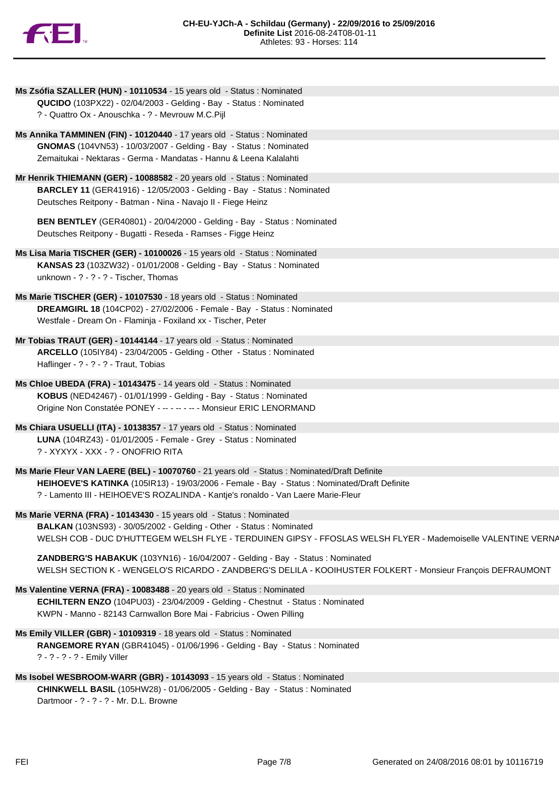

| Ms Zsófia SZALLER (HUN) - 10110534 - 15 years old - Status : Nominated                                                  |
|-------------------------------------------------------------------------------------------------------------------------|
| QUCIDO (103PX22) - 02/04/2003 - Gelding - Bay - Status : Nominated<br>? - Quattro Ox - Anouschka - ? - Mevrouw M.C.Pijl |
| Ms Annika TAMMINEN (FIN) - 10120440 - 17 years old - Status : Nominated                                                 |
| GNOMAS (104VN53) - 10/03/2007 - Gelding - Bay - Status: Nominated                                                       |
| Zemaitukai - Nektaras - Germa - Mandatas - Hannu & Leena Kalalahti                                                      |
| Mr Henrik THIEMANN (GER) - 10088582 - 20 years old - Status : Nominated                                                 |
| BARCLEY 11 (GER41916) - 12/05/2003 - Gelding - Bay - Status: Nominated                                                  |
| Deutsches Reitpony - Batman - Nina - Navajo II - Fiege Heinz                                                            |
| <b>BEN BENTLEY</b> (GER40801) - 20/04/2000 - Gelding - Bay - Status: Nominated                                          |
| Deutsches Reitpony - Bugatti - Reseda - Ramses - Figge Heinz                                                            |
| Ms Lisa Maria TISCHER (GER) - 10100026 - 15 years old - Status : Nominated                                              |
| KANSAS 23 (103ZW32) - 01/01/2008 - Gelding - Bay - Status : Nominated                                                   |
| unknown - ? - ? - ? - Tischer, Thomas                                                                                   |
| Ms Marie TISCHER (GER) - 10107530 - 18 years old - Status : Nominated                                                   |
| DREAMGIRL 18 (104CP02) - 27/02/2006 - Female - Bay - Status : Nominated                                                 |
| Westfale - Dream On - Flaminja - Foxiland xx - Tischer, Peter                                                           |
| Mr Tobias TRAUT (GER) - 10144144 - 17 years old - Status : Nominated                                                    |
| ARCELLO (105IY84) - 23/04/2005 - Gelding - Other - Status : Nominated                                                   |
| Haflinger - ? - ? - ? - Traut, Tobias                                                                                   |
| Ms Chloe UBEDA (FRA) - 10143475 - 14 years old - Status : Nominated                                                     |
| KOBUS (NED42467) - 01/01/1999 - Gelding - Bay - Status: Nominated                                                       |
| Origine Non Constatée PONEY - -- - - - - - Monsieur ERIC LENORMAND                                                      |
| Ms Chiara USUELLI (ITA) - 10138357 - 17 years old - Status : Nominated                                                  |
| LUNA (104RZ43) - 01/01/2005 - Female - Grey - Status : Nominated<br>? - XYXYX - XXX - ? - ONOFRIO RITA                  |
| Ms Marie Fleur VAN LAERE (BEL) - 10070760 - 21 years old - Status : Nominated/Draft Definite                            |
| HEIHOEVE'S KATINKA (105IR13) - 19/03/2006 - Female - Bay - Status : Nominated/Draft Definite                            |
| ? - Lamento III - HEIHOEVE'S ROZALINDA - Kantje's ronaldo - Van Laere Marie-Fleur                                       |
| Ms Marie VERNA (FRA) - 10143430 - 15 years old - Status : Nominated                                                     |
| BALKAN (103NS93) - 30/05/2002 - Gelding - Other - Status: Nominated                                                     |
| WELSH COB - DUC D'HUTTEGEM WELSH FLYE - TERDUINEN GIPSY - FFOSLAS WELSH FLYER - Mademoiselle VALENTINE VERNA            |
| ZANDBERG'S HABAKUK (103YN16) - 16/04/2007 - Gelding - Bay - Status : Nominated                                          |
| WELSH SECTION K - WENGELO'S RICARDO - ZANDBERG'S DELILA - KOOIHUSTER FOLKERT - Monsieur François DEFRAUMONT             |
| Ms Valentine VERNA (FRA) - 10083488 - 20 years old - Status : Nominated                                                 |
| ECHILTERN ENZO (104PU03) - 23/04/2009 - Gelding - Chestnut - Status : Nominated                                         |
| KWPN - Manno - 82143 Carnwallon Bore Mai - Fabricius - Owen Pilling                                                     |
| Ms Emily VILLER (GBR) - 10109319 - 18 years old - Status : Nominated                                                    |
| RANGEMORE RYAN (GBR41045) - 01/06/1996 - Gelding - Bay - Status : Nominated<br>? - ? - ? - ? - Emily Viller             |
| Ms Isobel WESBROOM-WARR (GBR) - 10143093 - 15 years old - Status : Nominated                                            |
|                                                                                                                         |

**CHINKWELL BASIL** (105HW28) - 01/06/2005 - Gelding - Bay - Status : Nominated Dartmoor - ? - ? - ? - Mr. D.L. Browne